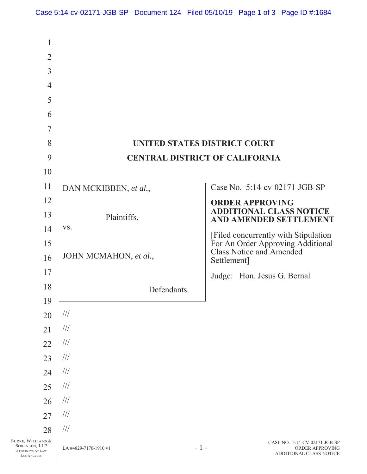|                                                  | Case 5:14-cv-02171-JGB-SP Document 124 Filed 05/10/19 Page 1 of 3 Page ID #:1684 |             |       |                                                               |                                            |  |
|--------------------------------------------------|----------------------------------------------------------------------------------|-------------|-------|---------------------------------------------------------------|--------------------------------------------|--|
| $\mathbf{1}$                                     |                                                                                  |             |       |                                                               |                                            |  |
| $\overline{2}$                                   |                                                                                  |             |       |                                                               |                                            |  |
| $\overline{3}$                                   |                                                                                  |             |       |                                                               |                                            |  |
| $\overline{4}$                                   |                                                                                  |             |       |                                                               |                                            |  |
| 5                                                |                                                                                  |             |       |                                                               |                                            |  |
| 6                                                |                                                                                  |             |       |                                                               |                                            |  |
| $\overline{7}$                                   |                                                                                  |             |       |                                                               |                                            |  |
| 8                                                | UNITED STATES DISTRICT COURT                                                     |             |       |                                                               |                                            |  |
| 9                                                | <b>CENTRAL DISTRICT OF CALIFORNIA</b>                                            |             |       |                                                               |                                            |  |
| 10                                               |                                                                                  |             |       |                                                               |                                            |  |
| 11                                               | DAN MCKIBBEN, et al.,                                                            |             |       | Case No. 5:14-cv-02171-JGB-SP                                 |                                            |  |
| 12                                               |                                                                                  |             |       | <b>ORDER APPROVING</b>                                        |                                            |  |
| 13                                               | Plaintiffs,                                                                      |             |       | <b>ADDITIONAL CLASS NOTICE</b><br>AND AMENDED SETTLEMENT      |                                            |  |
| 14                                               | VS.                                                                              |             |       | [Filed concurrently with Stipulation                          |                                            |  |
| 15                                               |                                                                                  |             |       | For An Order Approving Additional<br>Class Notice and Amended |                                            |  |
| 16                                               | JOHN MCMAHON, et al.,                                                            |             |       | Settlement]                                                   |                                            |  |
| 17                                               |                                                                                  |             |       | Judge: Hon. Jesus G. Bernal                                   |                                            |  |
| 18                                               |                                                                                  | Defendants. |       |                                                               |                                            |  |
| 19                                               |                                                                                  |             |       |                                                               |                                            |  |
| 20                                               | $\frac{1}{1}$                                                                    |             |       |                                                               |                                            |  |
| 21                                               | $\frac{1}{1}$                                                                    |             |       |                                                               |                                            |  |
| 22                                               | $\frac{1}{1}$                                                                    |             |       |                                                               |                                            |  |
| 23                                               | $\frac{1}{1}$                                                                    |             |       |                                                               |                                            |  |
| 24                                               | $\frac{1}{1}$                                                                    |             |       |                                                               |                                            |  |
| 25                                               | $\frac{1}{1}$                                                                    |             |       |                                                               |                                            |  |
| 26                                               | $\frac{1}{1}$                                                                    |             |       |                                                               |                                            |  |
| 27                                               | $\frac{1}{1}$                                                                    |             |       |                                                               |                                            |  |
| 28<br>BURKE, WILLIAMS &                          | $\frac{1}{1}$                                                                    |             |       |                                                               | CASE NO. 5:14-CV-02171-JGB-SP              |  |
| SORENSEN, LLP<br>ATTORNEYS AT LAW<br>LOS ANGELES | LA #4829-7170-1910 v1                                                            |             | $-1-$ |                                                               | ORDER APPROVING<br>ADDITIONAL CLASS NOTICE |  |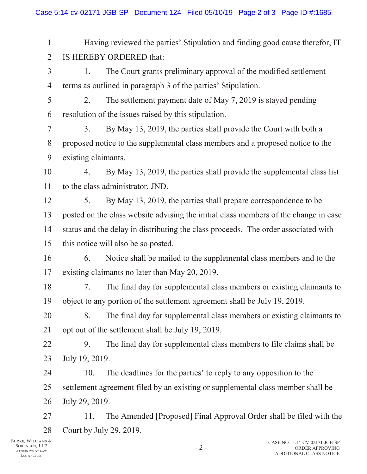| 1              | Having reviewed the parties' Stipulation and finding good cause therefor, IT         |  |  |  |  |
|----------------|--------------------------------------------------------------------------------------|--|--|--|--|
| $\overline{2}$ | IS HEREBY ORDERED that:                                                              |  |  |  |  |
| $\overline{3}$ | The Court grants preliminary approval of the modified settlement<br>1.               |  |  |  |  |
| $\overline{4}$ | terms as outlined in paragraph 3 of the parties' Stipulation.                        |  |  |  |  |
| 5              | The settlement payment date of May 7, 2019 is stayed pending<br>2.                   |  |  |  |  |
| 6              | resolution of the issues raised by this stipulation.                                 |  |  |  |  |
| 7              | By May 13, 2019, the parties shall provide the Court with both a<br>3.               |  |  |  |  |
| 8              | proposed notice to the supplemental class members and a proposed notice to the       |  |  |  |  |
| 9              | existing claimants.                                                                  |  |  |  |  |
| 10             | By May 13, 2019, the parties shall provide the supplemental class list<br>4.         |  |  |  |  |
| 11             | to the class administrator, JND.                                                     |  |  |  |  |
| 12             | By May 13, 2019, the parties shall prepare correspondence to be<br>5.                |  |  |  |  |
| 13             | posted on the class website advising the initial class members of the change in case |  |  |  |  |
| 14             | status and the delay in distributing the class proceeds. The order associated with   |  |  |  |  |
| 15             | this notice will also be so posted.                                                  |  |  |  |  |
| 16             | Notice shall be mailed to the supplemental class members and to the<br>6.            |  |  |  |  |
| 17             | existing claimants no later than May 20, 2019.                                       |  |  |  |  |
| 18             | The final day for supplemental class members or existing claimants to<br>7.          |  |  |  |  |
| 19             | object to any portion of the settlement agreement shall be July 19, 2019.            |  |  |  |  |
| 20             | The final day for supplemental class members or existing claimants to<br>8.          |  |  |  |  |
| 21             | opt out of the settlement shall be July 19, 2019.                                    |  |  |  |  |
| 22             | The final day for supplemental class members to file claims shall be<br>9.           |  |  |  |  |
| 23             | July 19, 2019.                                                                       |  |  |  |  |
| 24             | The deadlines for the parties' to reply to any opposition to the<br>10.              |  |  |  |  |
| 25             | settlement agreement filed by an existing or supplemental class member shall be      |  |  |  |  |
| 26             | July 29, 2019.                                                                       |  |  |  |  |
| 27             | The Amended [Proposed] Final Approval Order shall be filed with the<br>11.           |  |  |  |  |
| 28             | Court by July 29, 2019.                                                              |  |  |  |  |
| мs &<br>.LP    | CASE NO. 5:14-CV-02171-JGB-SP<br>∍                                                   |  |  |  |  |

BURKE, WILLIAMS & SORENSEN, LLP ATTORNEYS AT LAW LOS A NGELES

 $\mathsf{I}$